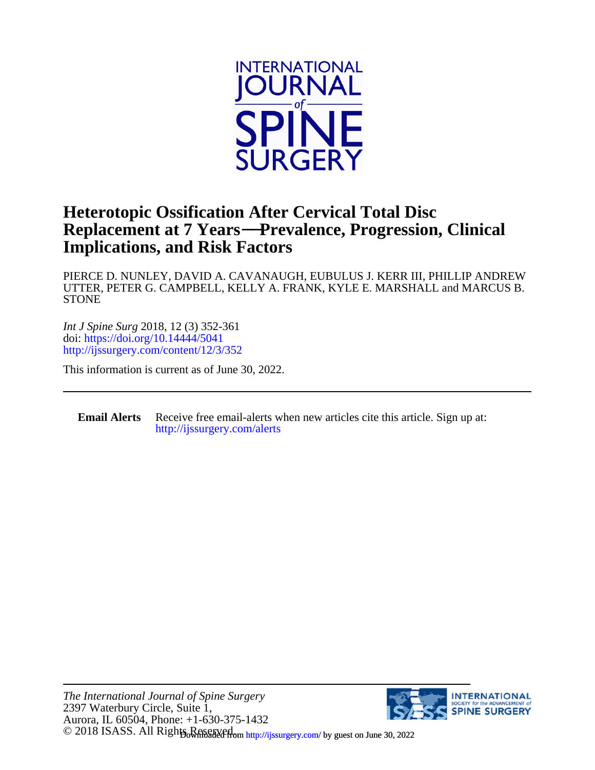

## **Implications, and Risk Factors Replacement at 7 Years**−−**Prevalence, Progression, Clinical Heterotopic Ossification After Cervical Total Disc**

**STONE** UTTER, PETER G. CAMPBELL, KELLY A. FRANK, KYLE E. MARSHALL and MARCUS B. PIERCE D. NUNLEY, DAVID A. CAVANAUGH, EUBULUS J. KERR III, PHILLIP ANDREW

<http://ijssurgery.com/content/12/3/352> doi:<https://doi.org/10.14444/5041> *Int J Spine Surg* 2018, 12 (3) 352-361

This information is current as of June 30, 2022.

**Email Alerts** [http://ijssurgery.com/alerts](http://jpm.iijournals.com/alerts) Receive free email-alerts when new articles cite this article. Sign up at:

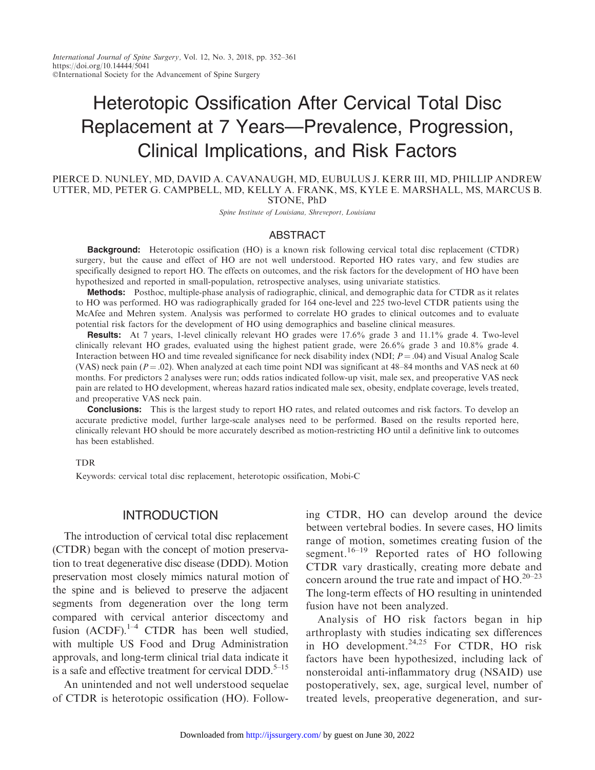# Heterotopic Ossification After Cervical Total Disc Replacement at 7 Years—Prevalence, Progression, Clinical Implications, and Risk Factors

PIERCE D. NUNLEY, MD, DAVID A. CAVANAUGH, MD, EUBULUS J. KERR III, MD, PHILLIP ANDREW UTTER, MD, PETER G. CAMPBELL, MD, KELLY A. FRANK, MS, KYLE E. MARSHALL, MS, MARCUS B. STONE, PhD

Spine Institute of Louisiana, Shreveport, Louisiana

#### ABSTRACT

**Background:** Heterotopic ossification (HO) is a known risk following cervical total disc replacement (CTDR) surgery, but the cause and effect of HO are not well understood. Reported HO rates vary, and few studies are specifically designed to report HO. The effects on outcomes, and the risk factors for the development of HO have been hypothesized and reported in small-population, retrospective analyses, using univariate statistics.

Methods: Posthoc, multiple-phase analysis of radiographic, clinical, and demographic data for CTDR as it relates to HO was performed. HO was radiographically graded for 164 one-level and 225 two-level CTDR patients using the McAfee and Mehren system. Analysis was performed to correlate HO grades to clinical outcomes and to evaluate potential risk factors for the development of HO using demographics and baseline clinical measures.

Results: At 7 years, 1-level clinically relevant HO grades were 17.6% grade 3 and 11.1% grade 4. Two-level clinically relevant HO grades, evaluated using the highest patient grade, were 26.6% grade 3 and 10.8% grade 4. Interaction between HO and time revealed significance for neck disability index (NDI;  $P = .04$ ) and Visual Analog Scale (VAS) neck pain ( $P = .02$ ). When analyzed at each time point NDI was significant at 48–84 months and VAS neck at 60 months. For predictors 2 analyses were run; odds ratios indicated follow-up visit, male sex, and preoperative VAS neck pain are related to HO development, whereas hazard ratios indicated male sex, obesity, endplate coverage, levels treated, and preoperative VAS neck pain.

**Conclusions:** This is the largest study to report HO rates, and related outcomes and risk factors. To develop an accurate predictive model, further large-scale analyses need to be performed. Based on the results reported here, clinically relevant HO should be more accurately described as motion-restricting HO until a definitive link to outcomes has been established.

#### TDR

Keywords: cervical total disc replacement, heterotopic ossification, Mobi-C

#### INTRODUCTION

The introduction of cervical total disc replacement (CTDR) began with the concept of motion preservation to treat degenerative disc disease (DDD). Motion preservation most closely mimics natural motion of the spine and is believed to preserve the adjacent segments from degeneration over the long term compared with cervical anterior discectomy and fusion  $(ACDF).^{1-4}$  CTDR has been well studied, with multiple US Food and Drug Administration approvals, and long-term clinical trial data indicate it is a safe and effective treatment for cervical DDD. $5-15$ 

An unintended and not well understood sequelae of CTDR is heterotopic ossification (HO). Following CTDR, HO can develop around the device between vertebral bodies. In severe cases, HO limits range of motion, sometimes creating fusion of the segment.<sup>16–19</sup> Reported rates of HO following CTDR vary drastically, creating more debate and concern around the true rate and impact of  $HO^{20-23}$ The long-term effects of HO resulting in unintended fusion have not been analyzed.

Analysis of HO risk factors began in hip arthroplasty with studies indicating sex differences in HO development. $24,25$  For CTDR, HO risk factors have been hypothesized, including lack of nonsteroidal anti-inflammatory drug (NSAID) use postoperatively, sex, age, surgical level, number of treated levels, preoperative degeneration, and sur-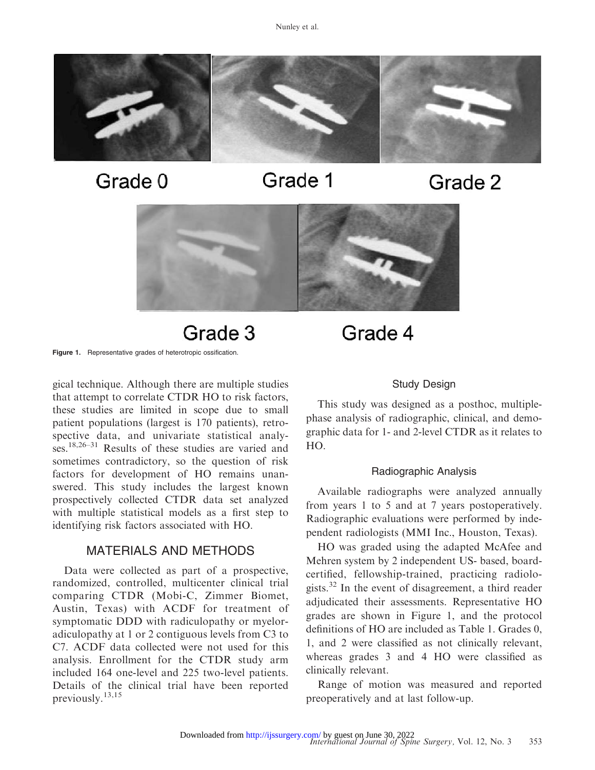

Grade 0

Grade 1

Grade 2



Grade 3

Figure 1. Representative grades of heterotropic ossification.

gical technique. Although there are multiple studies that attempt to correlate CTDR HO to risk factors, these studies are limited in scope due to small patient populations (largest is 170 patients), retrospective data, and univariate statistical analyses.18,26–31 Results of these studies are varied and sometimes contradictory, so the question of risk factors for development of HO remains unanswered. This study includes the largest known prospectively collected CTDR data set analyzed with multiple statistical models as a first step to identifying risk factors associated with HO.

### MATERIALS AND METHODS

Data were collected as part of a prospective, randomized, controlled, multicenter clinical trial comparing CTDR (Mobi-C, Zimmer Biomet, Austin, Texas) with ACDF for treatment of symptomatic DDD with radiculopathy or myeloradiculopathy at 1 or 2 contiguous levels from C3 to C7. ACDF data collected were not used for this analysis. Enrollment for the CTDR study arm included 164 one-level and 225 two-level patients. Details of the clinical trial have been reported previously.13,15

# Grade 4

#### Study Design

This study was designed as a posthoc, multiplephase analysis of radiographic, clinical, and demographic data for 1- and 2-level CTDR as it relates to HO.

#### Radiographic Analysis

Available radiographs were analyzed annually from years 1 to 5 and at 7 years postoperatively. Radiographic evaluations were performed by independent radiologists (MMI Inc., Houston, Texas).

HO was graded using the adapted McAfee and Mehren system by 2 independent US- based, boardcertified, fellowship-trained, practicing radiologists.32 In the event of disagreement, a third reader adjudicated their assessments. Representative HO grades are shown in Figure 1, and the protocol definitions of HO are included as Table 1. Grades 0, 1, and 2 were classified as not clinically relevant, whereas grades 3 and 4 HO were classified as clinically relevant.

Range of motion was measured and reported preoperatively and at last follow-up.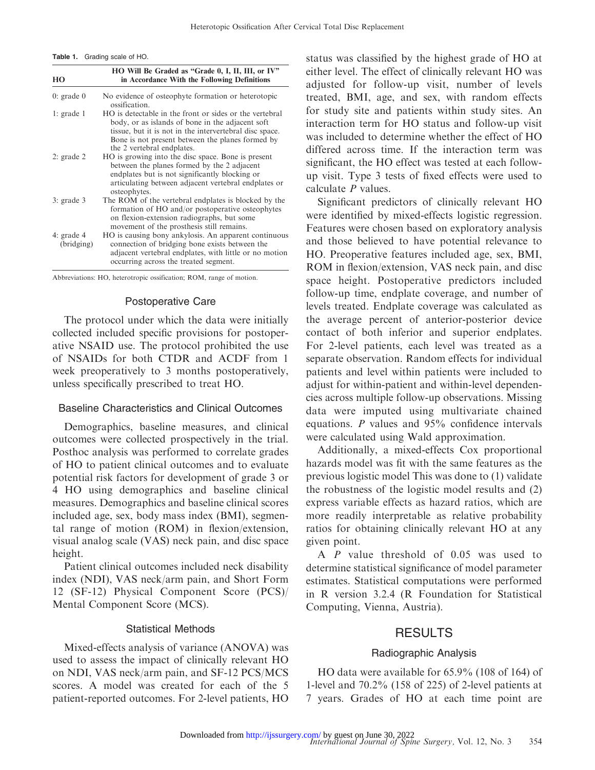Table 1. Grading scale of HO.

| HO                         | HO Will Be Graded as "Grade 0, I, II, III, or IV"<br>in Accordance With the Following Definitions                                                                                                                                                        |
|----------------------------|----------------------------------------------------------------------------------------------------------------------------------------------------------------------------------------------------------------------------------------------------------|
| $0:$ grade $0$             | No evidence of osteophyte formation or heterotopic<br>ossification.                                                                                                                                                                                      |
| $l$ : grade 1              | HO is detectable in the front or sides or the vertebral<br>body, or as islands of bone in the adjacent soft<br>tissue, but it is not in the intervertebral disc space.<br>Bone is not present between the planes formed by<br>the 2 vertebral endplates. |
| $2:$ grade $2$             | HO is growing into the disc space. Bone is present<br>between the planes formed by the 2 adjacent<br>endplates but is not significantly blocking or<br>articulating between adjacent vertebral endplates or<br>osteophytes.                              |
| $3:$ grade $3$             | The ROM of the vertebral endplates is blocked by the<br>formation of HO and/or postoperative osteophytes<br>on flexion-extension radiographs, but some<br>movement of the prosthesis still remains.                                                      |
| 4: grade $4$<br>(bridging) | HO is causing bony ankylosis. An apparent continuous<br>connection of bridging bone exists between the<br>adjacent vertebral endplates, with little or no motion<br>occurring across the treated segment.                                                |

Abbreviations: HO, heterotropic ossification; ROM, range of motion.

#### Postoperative Care

The protocol under which the data were initially collected included specific provisions for postoperative NSAID use. The protocol prohibited the use of NSAIDs for both CTDR and ACDF from 1 week preoperatively to 3 months postoperatively, unless specifically prescribed to treat HO.

#### Baseline Characteristics and Clinical Outcomes

Demographics, baseline measures, and clinical outcomes were collected prospectively in the trial. Posthoc analysis was performed to correlate grades of HO to patient clinical outcomes and to evaluate potential risk factors for development of grade 3 or 4 HO using demographics and baseline clinical measures. Demographics and baseline clinical scores included age, sex, body mass index (BMI), segmental range of motion (ROM) in flexion/extension, visual analog scale (VAS) neck pain, and disc space height.

Patient clinical outcomes included neck disability index (NDI), VAS neck/arm pain, and Short Form 12 (SF-12) Physical Component Score (PCS)/ Mental Component Score (MCS).

#### Statistical Methods

Mixed-effects analysis of variance (ANOVA) was used to assess the impact of clinically relevant HO on NDI, VAS neck/arm pain, and SF-12 PCS/MCS scores. A model was created for each of the 5 patient-reported outcomes. For 2-level patients, HO status was classified by the highest grade of HO at either level. The effect of clinically relevant HO was adjusted for follow-up visit, number of levels treated, BMI, age, and sex, with random effects for study site and patients within study sites. An interaction term for HO status and follow-up visit was included to determine whether the effect of HO differed across time. If the interaction term was significant, the HO effect was tested at each followup visit. Type 3 tests of fixed effects were used to calculate P values.

Significant predictors of clinically relevant HO were identified by mixed-effects logistic regression. Features were chosen based on exploratory analysis and those believed to have potential relevance to HO. Preoperative features included age, sex, BMI, ROM in flexion/extension, VAS neck pain, and disc space height. Postoperative predictors included follow-up time, endplate coverage, and number of levels treated. Endplate coverage was calculated as the average percent of anterior-posterior device contact of both inferior and superior endplates. For 2-level patients, each level was treated as a separate observation. Random effects for individual patients and level within patients were included to adjust for within-patient and within-level dependencies across multiple follow-up observations. Missing data were imputed using multivariate chained equations. P values and 95% confidence intervals were calculated using Wald approximation.

Additionally, a mixed-effects Cox proportional hazards model was fit with the same features as the previous logistic model This was done to (1) validate the robustness of the logistic model results and (2) express variable effects as hazard ratios, which are more readily interpretable as relative probability ratios for obtaining clinically relevant HO at any given point.

A P value threshold of 0.05 was used to determine statistical significance of model parameter estimates. Statistical computations were performed in R version 3.2.4 (R Foundation for Statistical Computing, Vienna, Austria).

### RESULTS

#### Radiographic Analysis

HO data were available for 65.9% (108 of 164) of 1-level and 70.2% (158 of 225) of 2-level patients at 7 years. Grades of HO at each time point are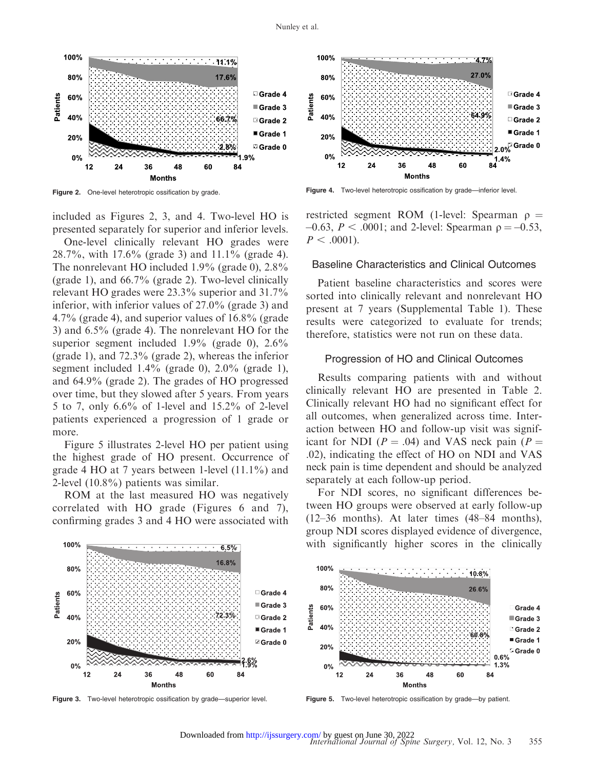

Figure 2. One-level heterotropic ossification by grade.

included as Figures 2, 3, and 4. Two-level HO is presented separately for superior and inferior levels.

One-level clinically relevant HO grades were 28.7%, with 17.6% (grade 3) and 11.1% (grade 4). The nonrelevant HO included 1.9% (grade 0), 2.8% (grade 1), and 66.7% (grade 2). Two-level clinically relevant HO grades were 23.3% superior and 31.7% inferior, with inferior values of 27.0% (grade 3) and 4.7% (grade 4), and superior values of 16.8% (grade 3) and 6.5% (grade 4). The nonrelevant HO for the superior segment included 1.9% (grade 0), 2.6% (grade 1), and 72.3% (grade 2), whereas the inferior segment included 1.4% (grade 0), 2.0% (grade 1), and 64.9% (grade 2). The grades of HO progressed over time, but they slowed after 5 years. From years 5 to 7, only 6.6% of 1-level and 15.2% of 2-level patients experienced a progression of 1 grade or more.

Figure 5 illustrates 2-level HO per patient using the highest grade of HO present. Occurrence of grade 4 HO at 7 years between 1-level (11.1%) and 2-level (10.8%) patients was similar.

ROM at the last measured HO was negatively correlated with HO grade (Figures 6 and 7), confirming grades 3 and 4 HO were associated with

100%



Figure 4. Two-level heterotropic ossification by grade—inferior level.

restricted segment ROM (1-level: Spearman  $\rho =$  $-0.63$ ,  $P < .0001$ ; and 2-level: Spearman  $\rho = -0.53$ ,  $P < .0001$ ).

#### Baseline Characteristics and Clinical Outcomes

Patient baseline characteristics and scores were sorted into clinically relevant and nonrelevant HO present at 7 years (Supplemental Table 1). These results were categorized to evaluate for trends; therefore, statistics were not run on these data.

#### Progression of HO and Clinical Outcomes

Results comparing patients with and without clinically relevant HO are presented in Table 2. Clinically relevant HO had no significant effect for all outcomes, when generalized across time. Interaction between HO and follow-up visit was significant for NDI ( $P = .04$ ) and VAS neck pain ( $P =$ .02), indicating the effect of HO on NDI and VAS neck pain is time dependent and should be analyzed separately at each follow-up period.

For NDI scores, no significant differences between HO groups were observed at early follow-up (12–36 months). At later times (48–84 months), group NDI scores displayed evidence of divergence, with significantly higher scores in the clinically



Figure 3. Two-level heterotropic ossification by grade—superior level.

Figure 5. Two-level heterotropic ossification by grade-by patient.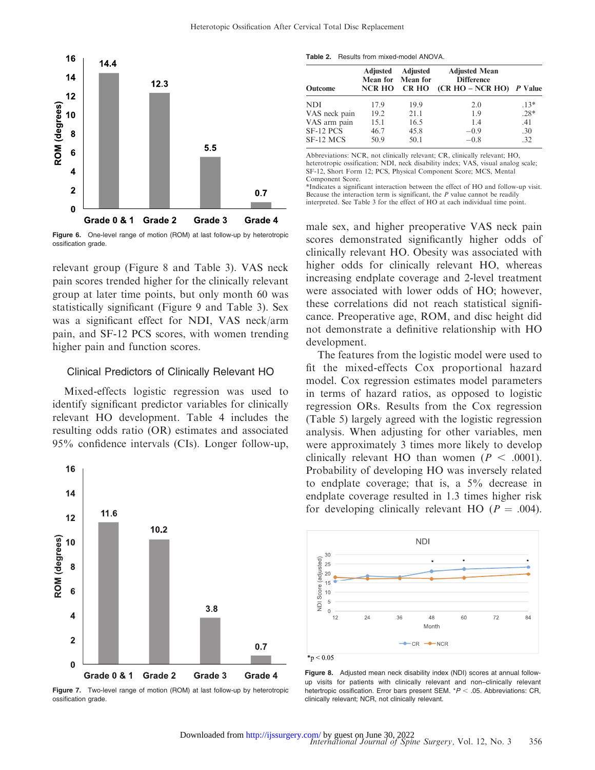

Figure 6. One-level range of motion (ROM) at last follow-up by heterotropic ossification grade.

relevant group (Figure 8 and Table 3). VAS neck pain scores trended higher for the clinically relevant group at later time points, but only month 60 was statistically significant (Figure 9 and Table 3). Sex was a significant effect for NDI, VAS neck/arm pain, and SF-12 PCS scores, with women trending higher pain and function scores.

#### Clinical Predictors of Clinically Relevant HO

Mixed-effects logistic regression was used to identify significant predictor variables for clinically relevant HO development. Table 4 includes the resulting odds ratio (OR) estimates and associated 95% confidence intervals (CIs). Longer follow-up,



Figure 7. Two-level range of motion (ROM) at last follow-up by heterotropic ossification grade.

Table 2. Results from mixed-model ANOVA.

| <b>Outcome</b> | Adjusted<br><b>NCR HO</b> | Adjusted<br>Mean for Mean for<br><b>CR HO</b> | <b>Adjusted Mean</b><br><b>Difference</b><br>$(CR HO - NCR HO)$ <i>P</i> Value |        |  |
|----------------|---------------------------|-----------------------------------------------|--------------------------------------------------------------------------------|--------|--|
| <b>NDI</b>     | 17.9                      | 19.9                                          | 2.0                                                                            | $.13*$ |  |
| VAS neck pain  | 19.2                      | 21.1                                          | 1.9                                                                            | $.28*$ |  |
| VAS arm pain   | 15.1                      | 16.5                                          | 1.4                                                                            | .41    |  |
| SF-12 PCS      | 46.7                      | 45.8                                          | $-0.9$                                                                         | .30    |  |
| SF-12 MCS      | 50.9                      | 50.1                                          | $-0.8$                                                                         | .32    |  |

Abbreviations: NCR, not clinically relevant; CR, clinically relevant; HO, heterotropic ossification; NDI, neck disability index; VAS, visual analog scale; SF-12, Short Form 12; PCS, Physical Component Score; MCS, Mental Component Score.

\*Indicates a significant interaction between the effect of HO and follow-up visit. Because the interaction term is significant, the  $P$  value cannot be readily interpreted. See Table 3 for the effect of HO at each individual time point.

male sex, and higher preoperative VAS neck pain scores demonstrated significantly higher odds of clinically relevant HO. Obesity was associated with higher odds for clinically relevant HO, whereas increasing endplate coverage and 2-level treatment were associated with lower odds of HO; however, these correlations did not reach statistical significance. Preoperative age, ROM, and disc height did not demonstrate a definitive relationship with HO development.

The features from the logistic model were used to fit the mixed-effects Cox proportional hazard model. Cox regression estimates model parameters in terms of hazard ratios, as opposed to logistic regression ORs. Results from the Cox regression (Table 5) largely agreed with the logistic regression analysis. When adjusting for other variables, men were approximately 3 times more likely to develop clinically relevant HO than women ( $P < .0001$ ). Probability of developing HO was inversely related to endplate coverage; that is, a 5% decrease in endplate coverage resulted in 1.3 times higher risk for developing clinically relevant HO ( $P = .004$ ).



Figure 8. Adjusted mean neck disability index (NDI) scores at annual followup visits for patients with clinically relevant and non–clinically relevant hetertropic ossification. Error bars present SEM.  $*P < .05$ . Abbreviations: CR, clinically relevant; NCR, not clinically relevant.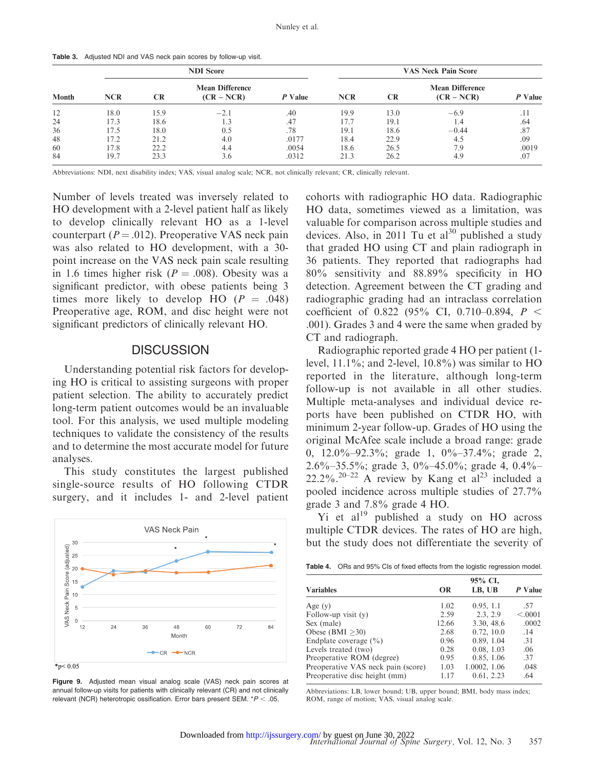| Table 3. Adjusted NDI and VAS neck pain scores by follow-up visit. |  |
|--------------------------------------------------------------------|--|
|--------------------------------------------------------------------|--|

| <b>Month</b> | <b>NDI Score</b> |           |                                        |         | <b>VAS Neck Pain Score</b> |           |                                        |         |
|--------------|------------------|-----------|----------------------------------------|---------|----------------------------|-----------|----------------------------------------|---------|
|              | <b>NCR</b>       | <b>CR</b> | <b>Mean Difference</b><br>$(CR - NCR)$ | P Value | <b>NCR</b>                 | <b>CR</b> | <b>Mean Difference</b><br>$(CR - NCR)$ | P Value |
| 12           | 18.0             | 15.9      | $-2.1$                                 | .40     | 19.9                       | 13.0      | $-6.9$                                 | . 1 1   |
| 24           | 17.3             | 18.6      | 1.3                                    | .47     | 17.7                       | 19.1      | 1.4                                    | .64     |
| 36           | l 7.5            | 18.0      | 0.5                                    | .78     | 19.1                       | 18.6      | $-0.44$                                | .87     |
| 48           | 17.2             | 21.2      | 4.0                                    | .0177   | 18.4                       | 22.9      | 4.5                                    | .09     |
| 60           | 17.8             | 22.2      | 4.4                                    | .0054   | 18.6                       | 26.5      | 7.9                                    | .0019   |
| 84           | 19.7             | 23.3      | 3.6                                    | .0312   | 21.3                       | 26.2      | 4.9                                    | .07     |

Abbreviations: NDI, next disability index; VAS, visual analog scale; NCR, not clinically relevant; CR, clinically relevant.

Number of levels treated was inversely related to HO development with a 2-level patient half as likely to develop clinically relevant HO as a 1-level counterpart ( $P = .012$ ). Preoperative VAS neck pain was also related to HO development, with a 30 point increase on the VAS neck pain scale resulting in 1.6 times higher risk ( $P = .008$ ). Obesity was a significant predictor, with obese patients being 3 times more likely to develop HO  $(P = .048)$ Preoperative age, ROM, and disc height were not significant predictors of clinically relevant HO.

#### **DISCUSSION**

Understanding potential risk factors for developing HO is critical to assisting surgeons with proper patient selection. The ability to accurately predict long-term patient outcomes would be an invaluable tool. For this analysis, we used multiple modeling techniques to validate the consistency of the results and to determine the most accurate model for future analyses.

This study constitutes the largest published single-source results of HO following CTDR surgery, and it includes 1- and 2-level patient



Figure 9. Adjusted mean visual analog scale (VAS) neck pain scores at annual follow-up visits for patients with clinically relevant (CR) and not clinically relevant (NCR) heterotropic ossification. Error bars present SEM.  $*P < .05$ .

cohorts with radiographic HO data. Radiographic HO data, sometimes viewed as a limitation, was valuable for comparison across multiple studies and devices. Also, in 2011 Tu et  $al^{30}$  published a study that graded HO using CT and plain radiograph in 36 patients. They reported that radiographs had 80% sensitivity and 88.89% specificity in HO detection. Agreement between the CT grading and radiographic grading had an intraclass correlation coefficient of 0.822 (95% CI, 0.710–0.894,  $P \leq$ .001). Grades 3 and 4 were the same when graded by CT and radiograph.

Radiographic reported grade 4 HO per patient (1 level, 11.1%; and 2-level, 10.8%) was similar to HO reported in the literature, although long-term follow-up is not available in all other studies. Multiple meta-analyses and individual device reports have been published on CTDR HO, with minimum 2-year follow-up. Grades of HO using the original McAfee scale include a broad range: grade 0, 12.0%–92.3%; grade 1, 0%–37.4%; grade 2, 2.6%–35.5%; grade 3, 0%–45.0%; grade 4, 0.4%– 22.2%.<sup>20–22</sup> A review by Kang et  $a^{23}$  included a pooled incidence across multiple studies of 27.7% grade 3 and 7.8% grade 4 HO.

Yi et  $al^{19}$  published a study on HO across multiple CTDR devices. The rates of HO are high, but the study does not differentiate the severity of

| 95% CI,<br>LB, UB<br>P Value<br><b>OR</b> |              |         |  |  |  |
|-------------------------------------------|--------------|---------|--|--|--|
| 1.02                                      | 0.95, 1.1    | .57     |  |  |  |
| 2.59                                      | 2.3, 2.9     | < .0001 |  |  |  |
| 12.66                                     | 3.30, 48.6   | .0002   |  |  |  |
| 2.68                                      | 0.72, 10.0   | .14     |  |  |  |
| 0.96                                      | 0.89, 1.04   | .31     |  |  |  |
| 0.28                                      | 0.08, 1.03   | .06     |  |  |  |
| 0.95                                      | 0.85, 1.06   | .37     |  |  |  |
| 1.03                                      | 1.0002, 1.06 | .048    |  |  |  |
| 1.17                                      | 0.61, 2.23   | .64     |  |  |  |
|                                           |              |         |  |  |  |

Abbreviations: LB, lower bound; UB, upper bound; BMI, body mass index; ROM, range of motion; VAS, visual analog scale.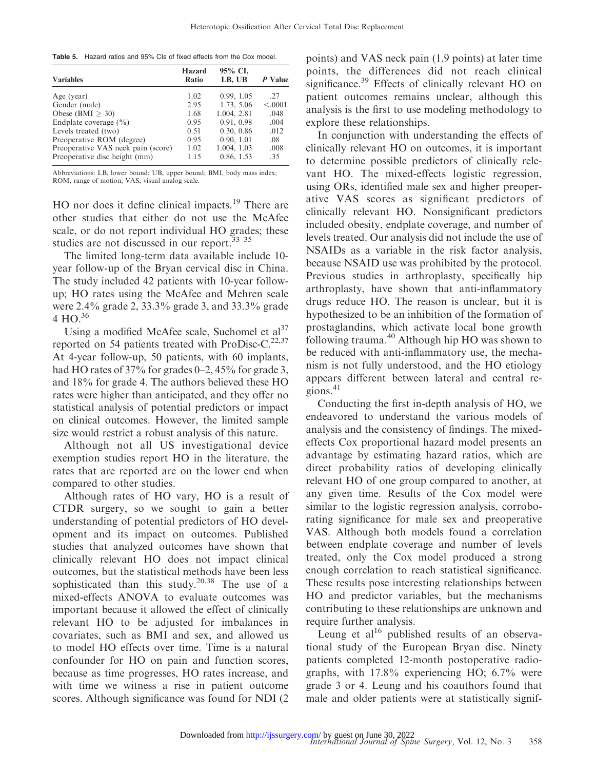Table 5. Hazard ratios and 95% CIs of fixed effects from the Cox model.

| <b>Variables</b>                   | <b>Hazard</b><br>Ratio | 95% CI,<br>LB, UB | P Value |
|------------------------------------|------------------------|-------------------|---------|
| Age (year)                         | 1.02                   | 0.99, 1.05        | 27      |
| Gender (male)                      | 2.95                   | 1.73, 5.06        | < .0001 |
| Obese (BMI $>$ 30)                 | 1.68                   | 1.004, 2.81       | .048    |
| Endplate coverage $(\% )$          | 0.95                   | 0.91, 0.98        | .004    |
| Levels treated (two)               | 0.51                   | 0.30, 0.86        | .012    |
| Preoperative ROM (degree)          | 0.95                   | 0.90, 1.01        | .08     |
| Preoperative VAS neck pain (score) | 1.02                   | 1.004, 1.03       | .008    |
| Preoperative disc height (mm)      | 1.15                   | 0.86, 1.53        | .35     |

Abbreviations: LB, lower bound; UB, upper bound; BMI, body mass index; ROM, range of motion; VAS, visual analog scale.

HO nor does it define clinical impacts.<sup>19</sup> There are other studies that either do not use the McAfee scale, or do not report individual HO grades; these studies are not discussed in our report.<sup>33-35</sup>

The limited long-term data available include 10 year follow-up of the Bryan cervical disc in China. The study included 42 patients with 10-year followup; HO rates using the McAfee and Mehren scale were 2.4% grade 2, 33.3% grade 3, and 33.3% grade 4 HO. $^{36}$ 

Using a modified McAfee scale, Suchomel et al<sup>37</sup> reported on 54 patients treated with ProDisc-C.<sup>22,37</sup> At 4-year follow-up, 50 patients, with 60 implants, had HO rates of 37% for grades 0–2, 45% for grade 3, and 18% for grade 4. The authors believed these HO rates were higher than anticipated, and they offer no statistical analysis of potential predictors or impact on clinical outcomes. However, the limited sample size would restrict a robust analysis of this nature.

Although not all US investigational device exemption studies report HO in the literature, the rates that are reported are on the lower end when compared to other studies.

Although rates of HO vary, HO is a result of CTDR surgery, so we sought to gain a better understanding of potential predictors of HO development and its impact on outcomes. Published studies that analyzed outcomes have shown that clinically relevant HO does not impact clinical outcomes, but the statistical methods have been less sophisticated than this study.<sup>20,38</sup> The use of a mixed-effects ANOVA to evaluate outcomes was important because it allowed the effect of clinically relevant HO to be adjusted for imbalances in covariates, such as BMI and sex, and allowed us to model HO effects over time. Time is a natural confounder for HO on pain and function scores, because as time progresses, HO rates increase, and with time we witness a rise in patient outcome scores. Although significance was found for NDI (2

points) and VAS neck pain (1.9 points) at later time points, the differences did not reach clinical significance.<sup>39</sup> Effects of clinically relevant HO on patient outcomes remains unclear, although this analysis is the first to use modeling methodology to explore these relationships.

In conjunction with understanding the effects of clinically relevant HO on outcomes, it is important to determine possible predictors of clinically relevant HO. The mixed-effects logistic regression, using ORs, identified male sex and higher preoperative VAS scores as significant predictors of clinically relevant HO. Nonsignificant predictors included obesity, endplate coverage, and number of levels treated. Our analysis did not include the use of NSAIDs as a variable in the risk factor analysis, because NSAID use was prohibited by the protocol. Previous studies in arthroplasty, specifically hip arthroplasty, have shown that anti-inflammatory drugs reduce HO. The reason is unclear, but it is hypothesized to be an inhibition of the formation of prostaglandins, which activate local bone growth following trauma.40 Although hip HO was shown to be reduced with anti-inflammatory use, the mechanism is not fully understood, and the HO etiology appears different between lateral and central regions. $41$ 

Conducting the first in-depth analysis of HO, we endeavored to understand the various models of analysis and the consistency of findings. The mixedeffects Cox proportional hazard model presents an advantage by estimating hazard ratios, which are direct probability ratios of developing clinically relevant HO of one group compared to another, at any given time. Results of the Cox model were similar to the logistic regression analysis, corroborating significance for male sex and preoperative VAS. Although both models found a correlation between endplate coverage and number of levels treated, only the Cox model produced a strong enough correlation to reach statistical significance. These results pose interesting relationships between HO and predictor variables, but the mechanisms contributing to these relationships are unknown and require further analysis.

Leung et  $al^{16}$  published results of an observational study of the European Bryan disc. Ninety patients completed 12-month postoperative radiographs, with 17.8% experiencing HO; 6.7% were grade 3 or 4. Leung and his coauthors found that male and older patients were at statistically signif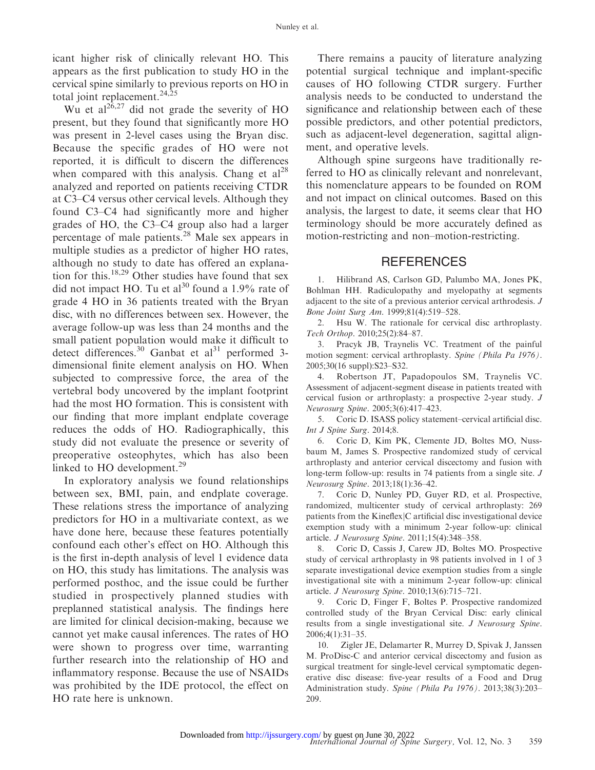icant higher risk of clinically relevant HO. This appears as the first publication to study HO in the cervical spine similarly to previous reports on HO in total joint replacement. $24,25$ 

Wu et al<sup>26,27</sup> did not grade the severity of HO present, but they found that significantly more HO was present in 2-level cases using the Bryan disc. Because the specific grades of HO were not reported, it is difficult to discern the differences when compared with this analysis. Chang et  $al^{28}$ analyzed and reported on patients receiving CTDR at C3–C4 versus other cervical levels. Although they found C3–C4 had significantly more and higher grades of HO, the C3–C4 group also had a larger percentage of male patients.<sup>28</sup> Male sex appears in multiple studies as a predictor of higher HO rates, although no study to date has offered an explanation for this.<sup>18,29</sup> Other studies have found that sex did not impact HO. Tu et al<sup>30</sup> found a 1.9% rate of grade 4 HO in 36 patients treated with the Bryan disc, with no differences between sex. However, the average follow-up was less than 24 months and the small patient population would make it difficult to detect differences.<sup>30</sup> Ganbat et al<sup>31</sup> performed 3dimensional finite element analysis on HO. When subjected to compressive force, the area of the vertebral body uncovered by the implant footprint had the most HO formation. This is consistent with our finding that more implant endplate coverage reduces the odds of HO. Radiographically, this study did not evaluate the presence or severity of preoperative osteophytes, which has also been linked to HO development.<sup>29</sup>

In exploratory analysis we found relationships between sex, BMI, pain, and endplate coverage. These relations stress the importance of analyzing predictors for HO in a multivariate context, as we have done here, because these features potentially confound each other's effect on HO. Although this is the first in-depth analysis of level 1 evidence data on HO, this study has limitations. The analysis was performed posthoc, and the issue could be further studied in prospectively planned studies with preplanned statistical analysis. The findings here are limited for clinical decision-making, because we cannot yet make causal inferences. The rates of HO were shown to progress over time, warranting further research into the relationship of HO and inflammatory response. Because the use of NSAIDs was prohibited by the IDE protocol, the effect on HO rate here is unknown.

There remains a paucity of literature analyzing potential surgical technique and implant-specific causes of HO following CTDR surgery. Further analysis needs to be conducted to understand the significance and relationship between each of these possible predictors, and other potential predictors, such as adjacent-level degeneration, sagittal alignment, and operative levels.

Although spine surgeons have traditionally referred to HO as clinically relevant and nonrelevant, this nomenclature appears to be founded on ROM and not impact on clinical outcomes. Based on this analysis, the largest to date, it seems clear that HO terminology should be more accurately defined as motion-restricting and non–motion-restricting.

#### **REFERENCES**

1. Hilibrand AS, Carlson GD, Palumbo MA, Jones PK, Bohlman HH. Radiculopathy and myelopathy at segments adjacent to the site of a previous anterior cervical arthrodesis. J Bone Joint Surg Am. 1999;81(4):519–528.

2. Hsu W. The rationale for cervical disc arthroplasty. Tech Orthop. 2010;25(2):84–87.

3. Pracyk JB, Traynelis VC. Treatment of the painful motion segment: cervical arthroplasty. Spine (Phila Pa 1976). 2005;30(16 suppl):S23–S32.

4. Robertson JT, Papadopoulos SM, Traynelis VC. Assessment of adjacent-segment disease in patients treated with cervical fusion or arthroplasty: a prospective 2-year study. J Neurosurg Spine. 2005;3(6):417–423.

5. Coric D. ISASS policy statement–cervical artificial disc. Int J Spine Surg. 2014;8.

6. Coric D, Kim PK, Clemente JD, Boltes MO, Nussbaum M, James S. Prospective randomized study of cervical arthroplasty and anterior cervical discectomy and fusion with long-term follow-up: results in 74 patients from a single site. J Neurosurg Spine. 2013;18(1):36–42.

7. Coric D, Nunley PD, Guyer RD, et al. Prospective, randomized, multicenter study of cervical arthroplasty: 269 patients from the Kineflex $|C|$  artificial disc investigational device exemption study with a minimum 2-year follow-up: clinical article. J Neurosurg Spine. 2011;15(4):348–358.

8. Coric D, Cassis J, Carew JD, Boltes MO. Prospective study of cervical arthroplasty in 98 patients involved in 1 of 3 separate investigational device exemption studies from a single investigational site with a minimum 2-year follow-up: clinical article. J Neurosurg Spine. 2010;13(6):715–721.

9. Coric D, Finger F, Boltes P. Prospective randomized controlled study of the Bryan Cervical Disc: early clinical results from a single investigational site. J Neurosurg Spine. 2006;4(1):31–35.

10. Zigler JE, Delamarter R, Murrey D, Spivak J, Janssen M. ProDisc-C and anterior cervical discectomy and fusion as surgical treatment for single-level cervical symptomatic degenerative disc disease: five-year results of a Food and Drug Administration study. Spine (Phila Pa 1976). 2013;38(3):203– 209.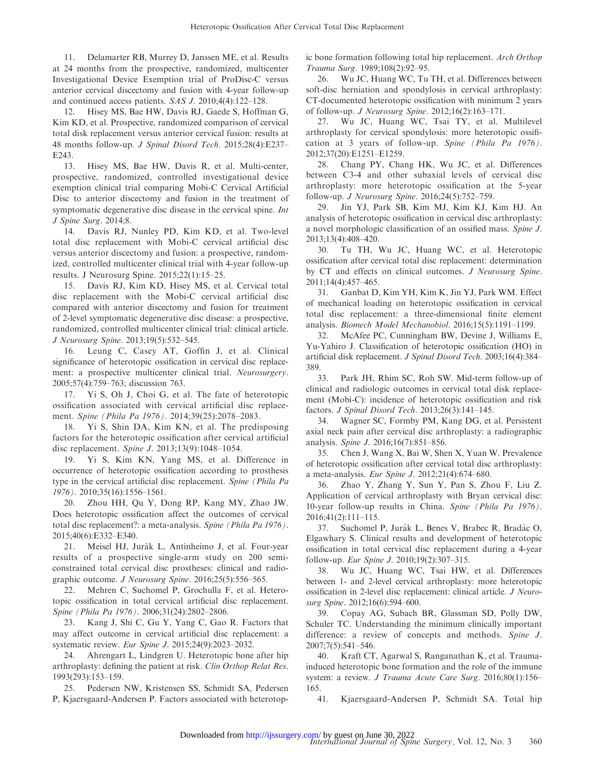11. Delamarter RB, Murrey D, Janssen ME, et al. Results at 24 months from the prospective, randomized, multicenter Investigational Device Exemption trial of ProDisc-C versus anterior cervical discectomy and fusion with 4-year follow-up and continued access patients. SAS J. 2010;4(4):122–128.

12. Hisey MS, Bae HW, Davis RJ, Gaede S, Hoffman G, Kim KD, et al. Prospective, randomized comparison of cervical total disk replacement versus anterior cervical fusion: results at 48 months follow-up. J Spinal Disord Tech. 2015;28(4):E237– E243.

13. Hisey MS, Bae HW, Davis R, et al. Multi-center, prospective, randomized, controlled investigational device exemption clinical trial comparing Mobi-C Cervical Artificial Disc to anterior discectomy and fusion in the treatment of symptomatic degenerative disc disease in the cervical spine. *Int* J Spine Surg. 2014;8.

14. Davis RJ, Nunley PD, Kim KD, et al. Two-level total disc replacement with Mobi-C cervical artificial disc versus anterior discectomy and fusion: a prospective, randomized, controlled multicenter clinical trial with 4-year follow-up results. J Neurosurg Spine. 2015;22(1):15–25.

15. Davis RJ, Kim KD, Hisey MS, et al. Cervical total disc replacement with the Mobi-C cervical artificial disc compared with anterior discectomy and fusion for treatment of 2-level symptomatic degenerative disc disease: a prospective, randomized, controlled multicenter clinical trial: clinical article. J Neurosurg Spine. 2013;19(5):532–545.

16. Leung C, Casey AT, Goffin J, et al. Clinical significance of heterotopic ossification in cervical disc replacement: a prospective multicenter clinical trial. Neurosurgery. 2005;57(4):759–763; discussion 763.

17. Yi S, Oh J, Choi G, et al. The fate of heterotopic ossification associated with cervical artificial disc replacement. Spine (Phila Pa 1976). 2014;39(25):2078–2083.

18. Yi S, Shin DA, Kim KN, et al. The predisposing factors for the heterotopic ossification after cervical artificial disc replacement. Spine J. 2013;13(9):1048–1054.

19. Yi S, Kim KN, Yang MS, et al. Difference in occurrence of heterotopic ossification according to prosthesis type in the cervical artificial disc replacement. Spine (Phila Pa 1976). 2010;35(16):1556–1561.

20. Zhou HH, Qu Y, Dong RP, Kang MY, Zhao JW. Does heterotopic ossification affect the outcomes of cervical total disc replacement?: a meta-analysis. Spine (Phila Pa 1976). 2015;40(6):E332–E340.

21. Meisel HJ, Jurák L, Antinheimo J, et al. Four-year results of a prospective single-arm study on 200 semiconstrained total cervical disc prostheses: clinical and radiographic outcome. J Neurosurg Spine. 2016;25(5):556–565.

22. Mehren C, Suchomel P, Grochulla F, et al. Heterotopic ossification in total cervical artificial disc replacement. Spine (Phila Pa 1976). 2006;31(24):2802–2806.

23. Kang J, Shi C, Gu Y, Yang C, Gao R. Factors that may affect outcome in cervical artificial disc replacement: a systematic review. Eur Spine J. 2015;24(9):2023–2032.

24. Ahrengart L, Lindgren U. Heterotopic bone after hip arthroplasty: defining the patient at risk. Clin Orthop Relat Res. 1993(293):153–159.

25. Pedersen NW, Kristensen SS, Schmidt SA, Pedersen P, Kjaersgaard-Andersen P. Factors associated with heterotopic bone formation following total hip replacement. Arch Orthop Trauma Surg. 1989;108(2):92–95.

26. Wu JC, Huang WC, Tu TH, et al. Differences between soft-disc herniation and spondylosis in cervical arthroplasty: CT-documented heterotopic ossification with minimum 2 years of follow-up. J Neurosurg Spine. 2012;16(2):163–171.

27. Wu JC, Huang WC, Tsai TY, et al. Multilevel arthroplasty for cervical spondylosis: more heterotopic ossification at 3 years of follow-up. Spine (Phila Pa 1976). 2012;37(20):E1251–E1259.

28. Chang PY, Chang HK, Wu JC, et al. Differences between C3-4 and other subaxial levels of cervical disc arthroplasty: more heterotopic ossification at the 5-year follow-up. J Neurosurg Spine. 2016;24(5):752–759.

29. Jin YJ, Park SB, Kim MJ, Kim KJ, Kim HJ. An analysis of heterotopic ossification in cervical disc arthroplasty: a novel morphologic classification of an ossified mass. Spine J. 2013;13(4):408–420.

30. Tu TH, Wu JC, Huang WC, et al. Heterotopic ossification after cervical total disc replacement: determination by CT and effects on clinical outcomes. J Neurosurg Spine. 2011;14(4):457–465.

31. Ganbat D, Kim YH, Kim K, Jin YJ, Park WM. Effect of mechanical loading on heterotopic ossification in cervical total disc replacement: a three-dimensional finite element analysis. Biomech Model Mechanobiol. 2016;15(5):1191–1199.

32. McAfee PC, Cunningham BW, Devine J, Williams E, Yu-Yahiro J. Classification of heterotopic ossification (HO) in artificial disk replacement. J Spinal Disord Tech. 2003;16(4):384– 389.

33. Park JH, Rhim SC, Roh SW. Mid-term follow-up of clinical and radiologic outcomes in cervical total disk replacement (Mobi-C): incidence of heterotopic ossification and risk factors. J Spinal Disord Tech. 2013;26(3):141–145.

34. Wagner SC, Formby PM, Kang DG, et al. Persistent axial neck pain after cervical disc arthroplasty: a radiographic analysis. Spine J. 2016;16(7):851–856.

35. Chen J, Wang X, Bai W, Shen X, Yuan W. Prevalence of heterotopic ossification after cervical total disc arthroplasty: a meta-analysis. Eur Spine J. 2012;21(4):674–680.

36. Zhao Y, Zhang Y, Sun Y, Pan S, Zhou F, Liu Z. Application of cervical arthroplasty with Bryan cervical disc: 10-year follow-up results in China. Spine (Phila Pa 1976). 2016;41(2):111–115.

37. Suchomel P, Jurák L, Benes V, Brabec R, Bradác O, Elgawhary S. Clinical results and development of heterotopic ossification in total cervical disc replacement during a 4-year follow-up. Eur Spine J. 2010;19(2):307–315.

38. Wu JC, Huang WC, Tsai HW, et al. Differences between 1- and 2-level cervical arthroplasty: more heterotopic ossification in 2-level disc replacement: clinical article. J Neurosurg Spine. 2012;16(6):594–600.

39. Copay AG, Subach BR, Glassman SD, Polly DW, Schuler TC. Understanding the minimum clinically important difference: a review of concepts and methods. Spine J. 2007;7(5):541–546.

40. Kraft CT, Agarwal S, Ranganathan K, et al. Traumainduced heterotopic bone formation and the role of the immune system: a review. J Trauma Acute Care Surg. 2016;80(1):156– 165.

41. Kjaersgaard-Andersen P, Schmidt SA. Total hip